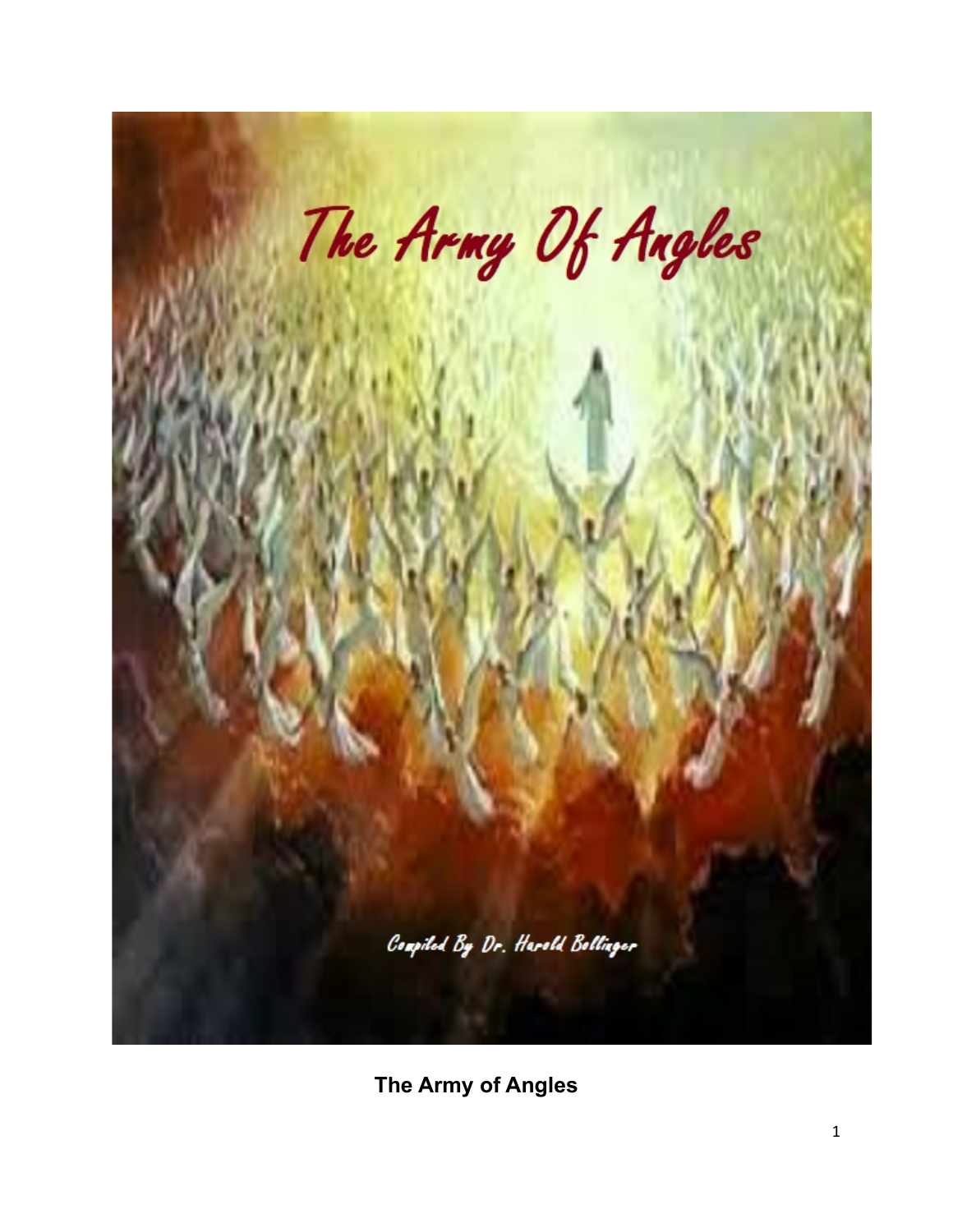

**The Army of Angles**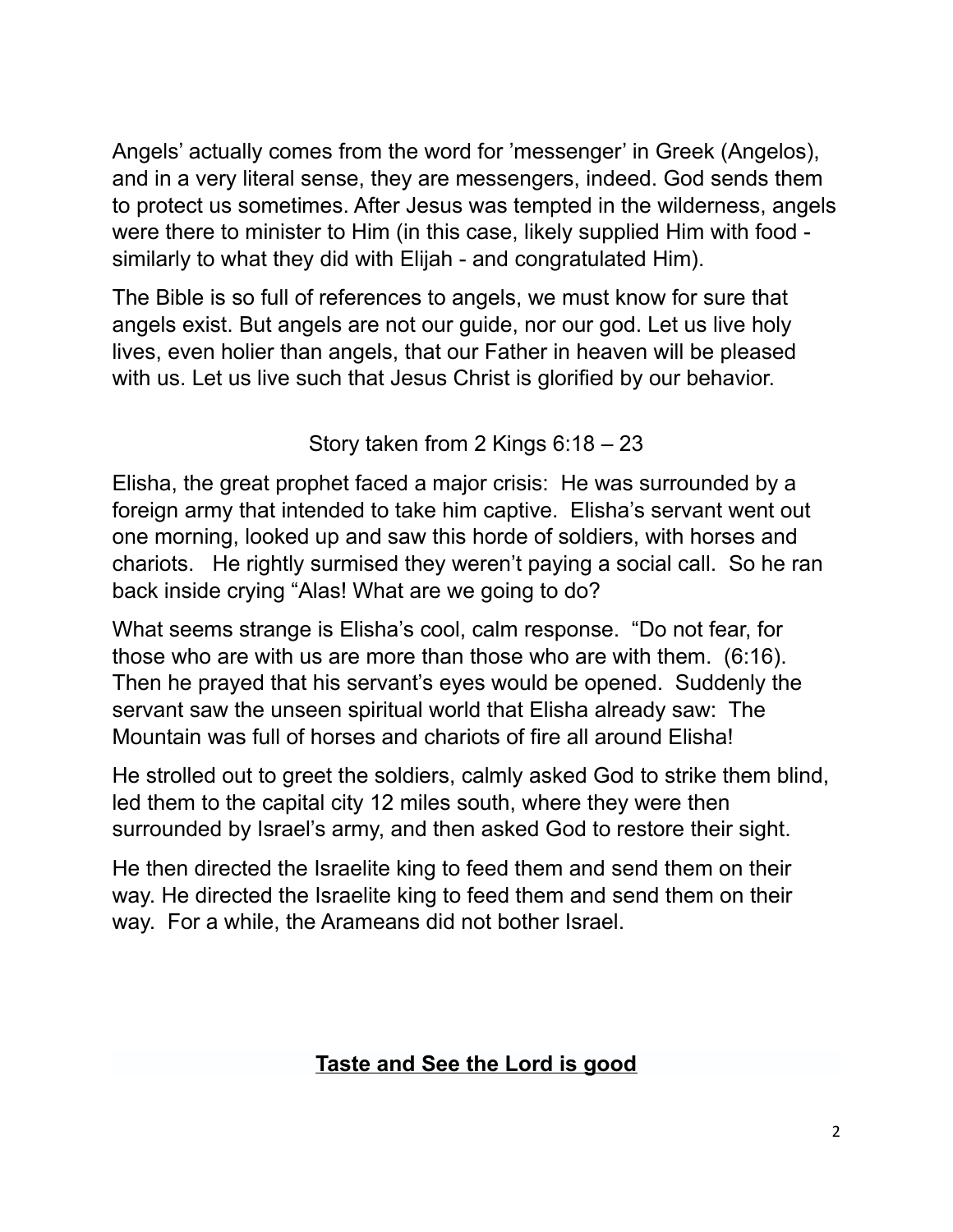Angels' actually comes from the word for 'messenger' in Greek (Angelos), and in a very literal sense, they are messengers, indeed. God sends them to protect us sometimes. After Jesus was tempted in the wilderness, angels were there to minister to Him (in this case, likely supplied Him with food similarly to what they did with Elijah - and congratulated Him).

The Bible is so full of references to angels, we must know for sure that angels exist. But angels are not our guide, nor our god. Let us live holy lives, even holier than angels, that our Father in heaven will be pleased with us. Let us live such that Jesus Christ is glorified by our behavior.

Story taken from 2 Kings 6:18 – 23

Elisha, the great prophet faced a major crisis: He was surrounded by a foreign army that intended to take him captive. Elisha's servant went out one morning, looked up and saw this horde of soldiers, with horses and chariots. He rightly surmised they weren't paying a social call. So he ran back inside crying "Alas! What are we going to do?

What seems strange is Elisha's cool, calm response. "Do not fear, for those who are with us are more than those who are with them. (6:16). Then he prayed that his servant's eyes would be opened. Suddenly the servant saw the unseen spiritual world that Elisha already saw: The Mountain was full of horses and chariots of fire all around Elisha!

He strolled out to greet the soldiers, calmly asked God to strike them blind, led them to the capital city 12 miles south, where they were then surrounded by Israel's army, and then asked God to restore their sight.

He then directed the Israelite king to feed them and send them on their way. He directed the Israelite king to feed them and send them on their way. For a while, the Arameans did not bother Israel.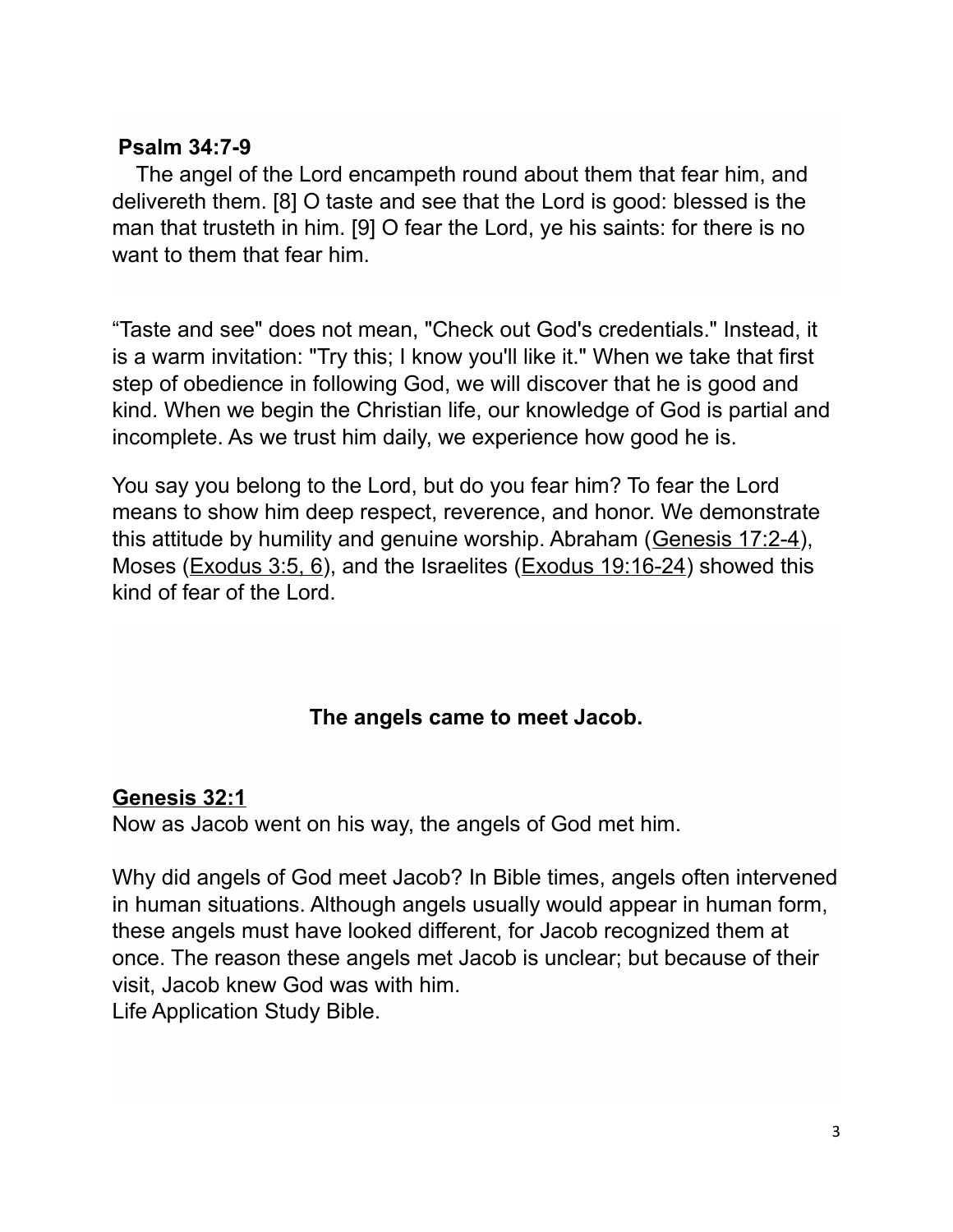#### **Psalm 34:7-9**

 The angel of the Lord encampeth round about them that fear him, and delivereth them. [8] O taste and see that the Lord is good: blessed is the man that trusteth in him. [9] O fear the Lord, ye his saints: for there is no want to them that fear him.

"Taste and see" does not mean, "Check out God's credentials." Instead, it is a warm invitation: "Try this; I know you'll like it." When we take that first step of obedience in following God, we will discover that he is good and kind. When we begin the Christian life, our knowledge of God is partial and incomplete. As we trust him daily, we experience how good he is.

You say you belong to the Lord, but do you fear him? To fear the Lord means to show him deep respect, reverence, and honor. We demonstrate this attitude by humility and genuine worship. Abraham [\(Genesis 17:2-4\)](http://www.crossbooks.com/verse.asp?ref=Ge+17%3A2-4), Moses [\(Exodus 3:5, 6\)](http://www.crossbooks.com/verse.asp?ref=Ex+3%3A5-6), and the Israelites [\(Exodus 19:16-24\)](http://www.crossbooks.com/verse.asp?ref=Ex+19%3A16-24) showed this kind of fear of the Lord.

## **The angels came to meet Jacob.**

#### **[Genesis 32:1](http://biblehub.com/genesis/32-1.htm)**

Now as Jacob went on his way, the angels of God met him.

Why did angels of God meet Jacob? In Bible times, angels often intervened in human situations. Although angels usually would appear in human form, these angels must have looked different, for Jacob recognized them at once. The reason these angels met Jacob is unclear; but because of their visit, Jacob knew God was with him. Life Application Study Bible.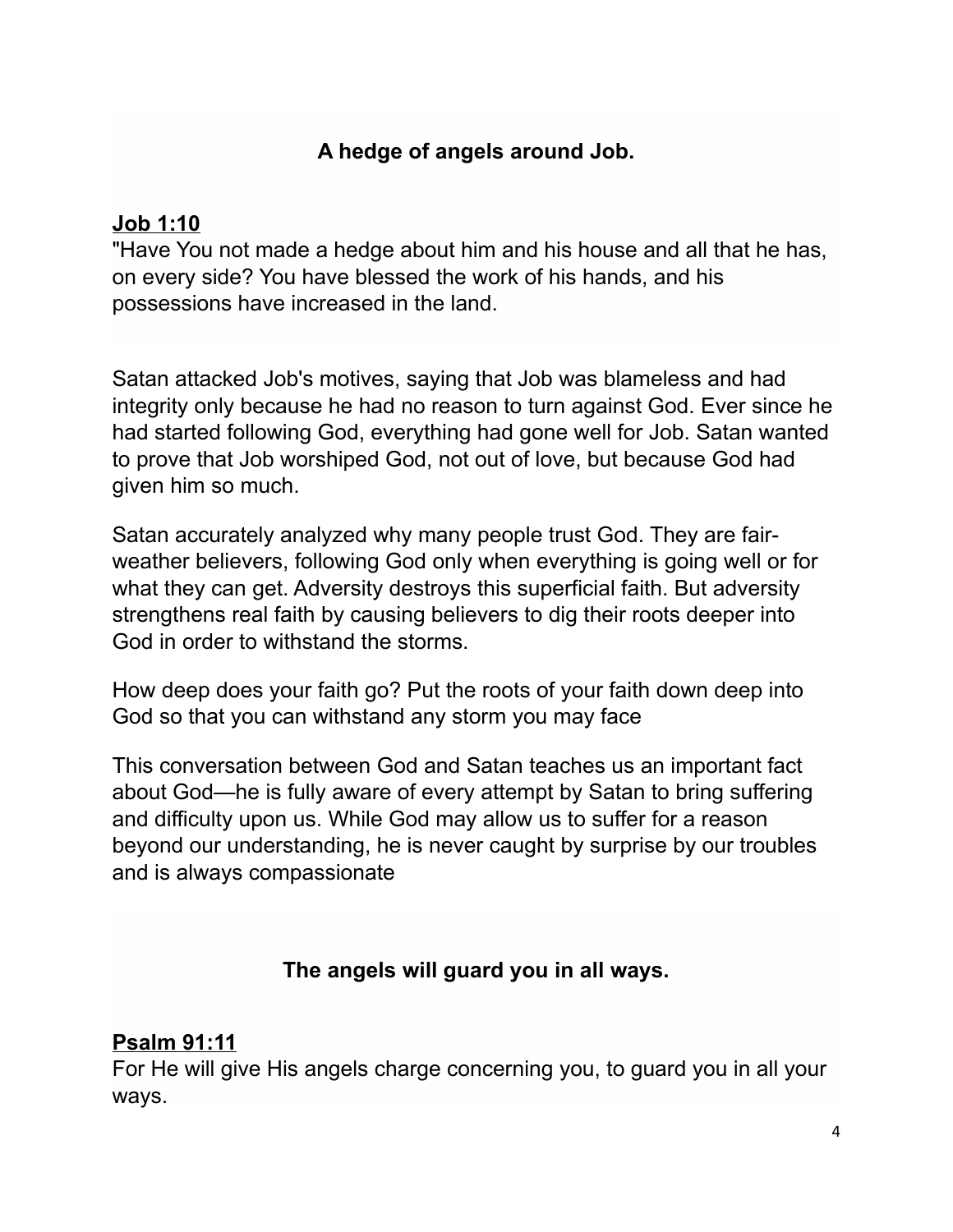## **A hedge of angels around Job.**

#### **[Job 1:10](http://biblehub.com/job/1-10.htm)**

"Have You not made a hedge about him and his house and all that he has, on every side? You have blessed the work of his hands, and his possessions have increased in the land.

Satan attacked Job's motives, saying that Job was blameless and had integrity only because he had no reason to turn against God. Ever since he had started following God, everything had gone well for Job. Satan wanted to prove that Job worshiped God, not out of love, but because God had given him so much.

Satan accurately analyzed why many people trust God. They are fairweather believers, following God only when everything is going well or for what they can get. Adversity destroys this superficial faith. But adversity strengthens real faith by causing believers to dig their roots deeper into God in order to withstand the storms.

How deep does your faith go? Put the roots of your faith down deep into God so that you can withstand any storm you may face

This conversation between God and Satan teaches us an important fact about God—he is fully aware of every attempt by Satan to bring suffering and difficulty upon us. While God may allow us to suffer for a reason beyond our understanding, he is never caught by surprise by our troubles and is always compassionate

## **The angels will guard you in all ways.**

## **[Psalm 91:11](http://biblehub.com/psalms/91-11.htm)**

For He will give His angels charge concerning you, to guard you in all your ways.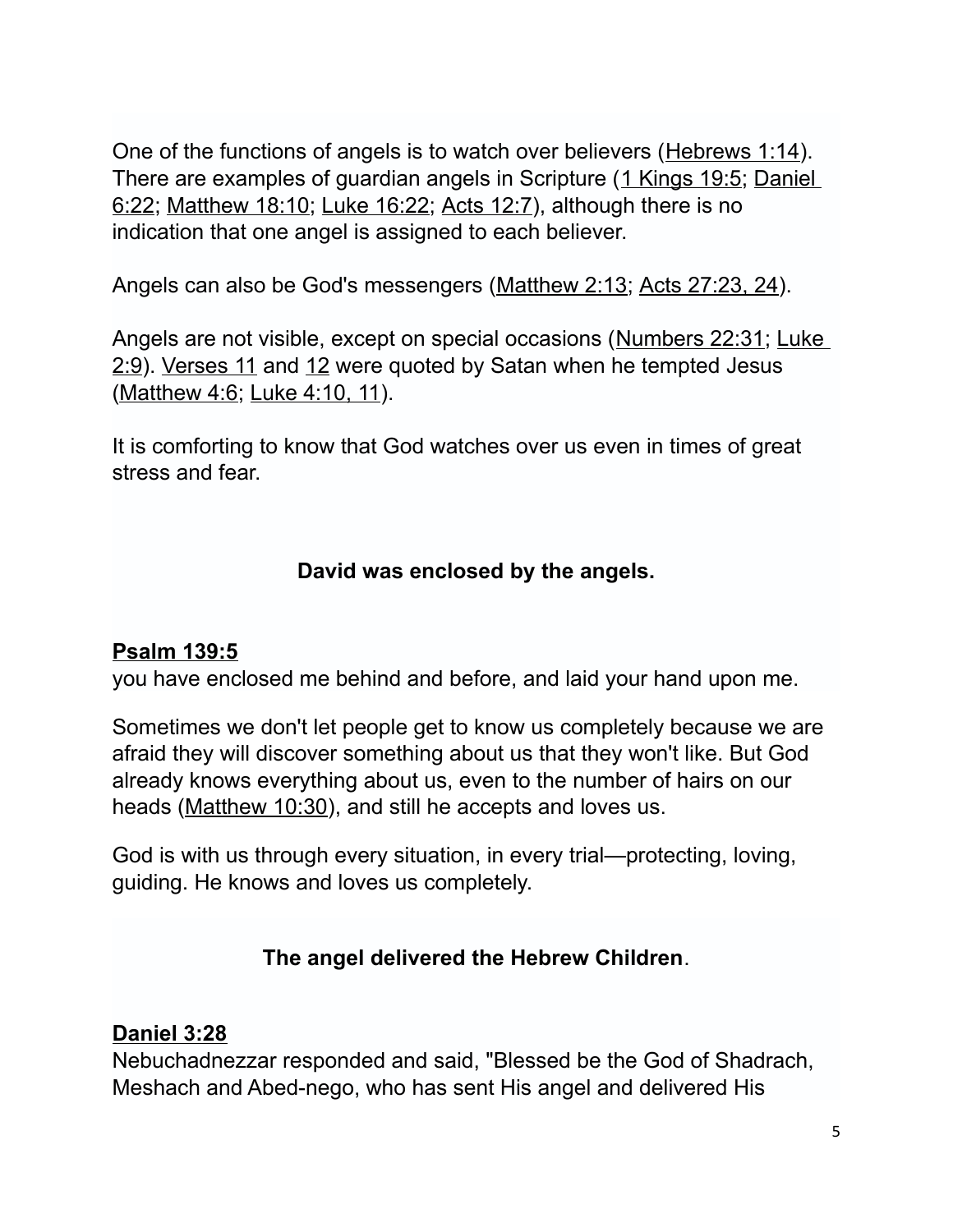One of the functions of angels is to watch over believers [\(Hebrews 1:14\)](http://www.crossbooks.com/verse.asp?ref=Heb+1%3A14). There are examples of guardian angels in Scripture [\(1 Kings 19:5;](http://www.crossbooks.com/verse.asp?ref=1Ki+19%3A5) Daniel [6:22;](http://www.crossbooks.com/verse.asp?ref=Da+6%3A22) [Matthew 18:10;](http://www.crossbooks.com/verse.asp?ref=Mt+18%3A10) [Luke 16:22;](http://www.crossbooks.com/verse.asp?ref=Lk+16%3A22) [Acts 12:7\)](http://www.crossbooks.com/verse.asp?ref=Ac+12%3A7), although there is no indication that one angel is assigned to each believer.

Angels can also be God's messengers [\(Matthew 2:13;](http://www.crossbooks.com/verse.asp?ref=Mt+2%3A13) [Acts 27:23, 24\)](http://www.crossbooks.com/verse.asp?ref=Ac+27%3A23-24).

Angels are not visible, except on special occasions [\(Numbers 22:31;](http://www.crossbooks.com/verse.asp?ref=Nu+22%3A31) [Luke](http://www.crossbooks.com/verse.asp?ref=Lk+2%3A9)  [2:9\)](http://www.crossbooks.com/verse.asp?ref=Lk+2%3A9). [Verses 11](http://www.crossbooks.com/verse.asp?ref=Ps+91%3A11) and [12](http://www.crossbooks.com/verse.asp?ref=Ps+91%3A12) were quoted by Satan when he tempted Jesus [\(Matthew 4:6;](http://www.crossbooks.com/verse.asp?ref=Mt+4%3A6) [Luke 4:10, 11\)](http://www.crossbooks.com/verse.asp?ref=Lk+4%3A10-11).

It is comforting to know that God watches over us even in times of great stress and fear.

## **David was enclosed by the angels.**

#### **[Psalm 139:5](http://biblehub.com/psalms/139-5.htm)**

you have enclosed me behind and before, and laid your hand upon me.

Sometimes we don't let people get to know us completely because we are afraid they will discover something about us that they won't like. But God already knows everything about us, even to the number of hairs on our heads [\(Matthew 10:30\)](http://www.crossbooks.com/verse.asp?ref=Mt+10%3A30), and still he accepts and loves us.

God is with us through every situation, in every trial—protecting, loving, guiding. He knows and loves us completely.

## **The angel delivered the Hebrew Children**.

#### **[Daniel 3:28](http://biblehub.com/daniel/3-28.htm)**

Nebuchadnezzar responded and said, "Blessed be the God of Shadrach, Meshach and Abed-nego, who has sent His angel and delivered His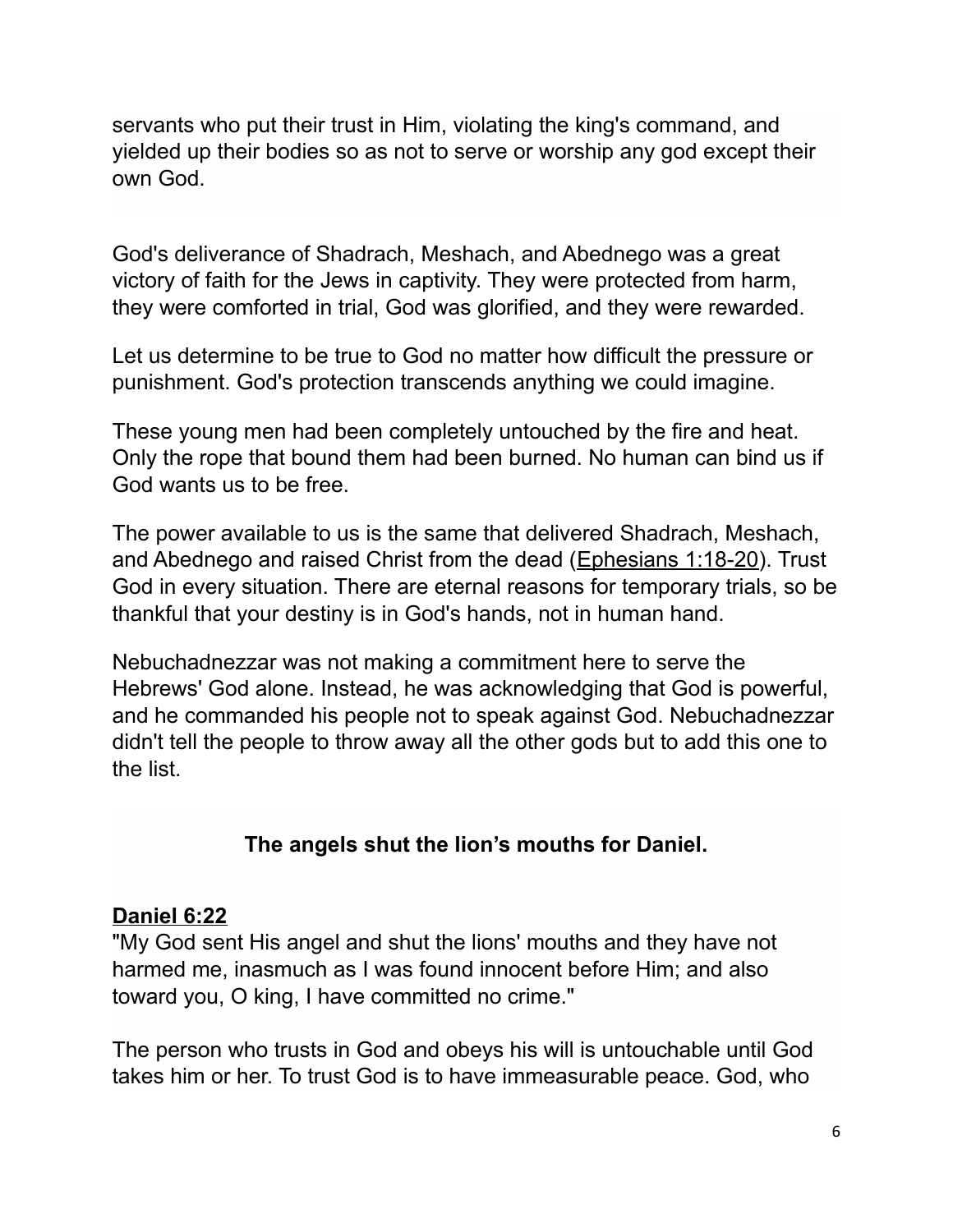servants who put their trust in Him, violating the king's command, and yielded up their bodies so as not to serve or worship any god except their own God.

God's deliverance of Shadrach, Meshach, and Abednego was a great victory of faith for the Jews in captivity. They were protected from harm, they were comforted in trial, God was glorified, and they were rewarded.

Let us determine to be true to God no matter how difficult the pressure or punishment. God's protection transcends anything we could imagine.

These young men had been completely untouched by the fire and heat. Only the rope that bound them had been burned. No human can bind us if God wants us to be free.

The power available to us is the same that delivered Shadrach, Meshach, and Abednego and raised Christ from the dead [\(Ephesians 1:18-20\)](http://www.crossbooks.com/verse.asp?ref=Eph+1%3A18-20). Trust God in every situation. There are eternal reasons for temporary trials, so be thankful that your destiny is in God's hands, not in human hand.

Nebuchadnezzar was not making a commitment here to serve the Hebrews' God alone. Instead, he was acknowledging that God is powerful, and he commanded his people not to speak against God. Nebuchadnezzar didn't tell the people to throw away all the other gods but to add this one to the list.

## **The angels shut the lion's mouths for Daniel.**

#### **[Daniel 6:22](http://biblehub.com/daniel/6-22.htm)**

"My God sent His angel and shut the lions' mouths and they have not harmed me, inasmuch as I was found innocent before Him; and also toward you, O king, I have committed no crime."

The person who trusts in God and obeys his will is untouchable until God takes him or her. To trust God is to have immeasurable peace. God, who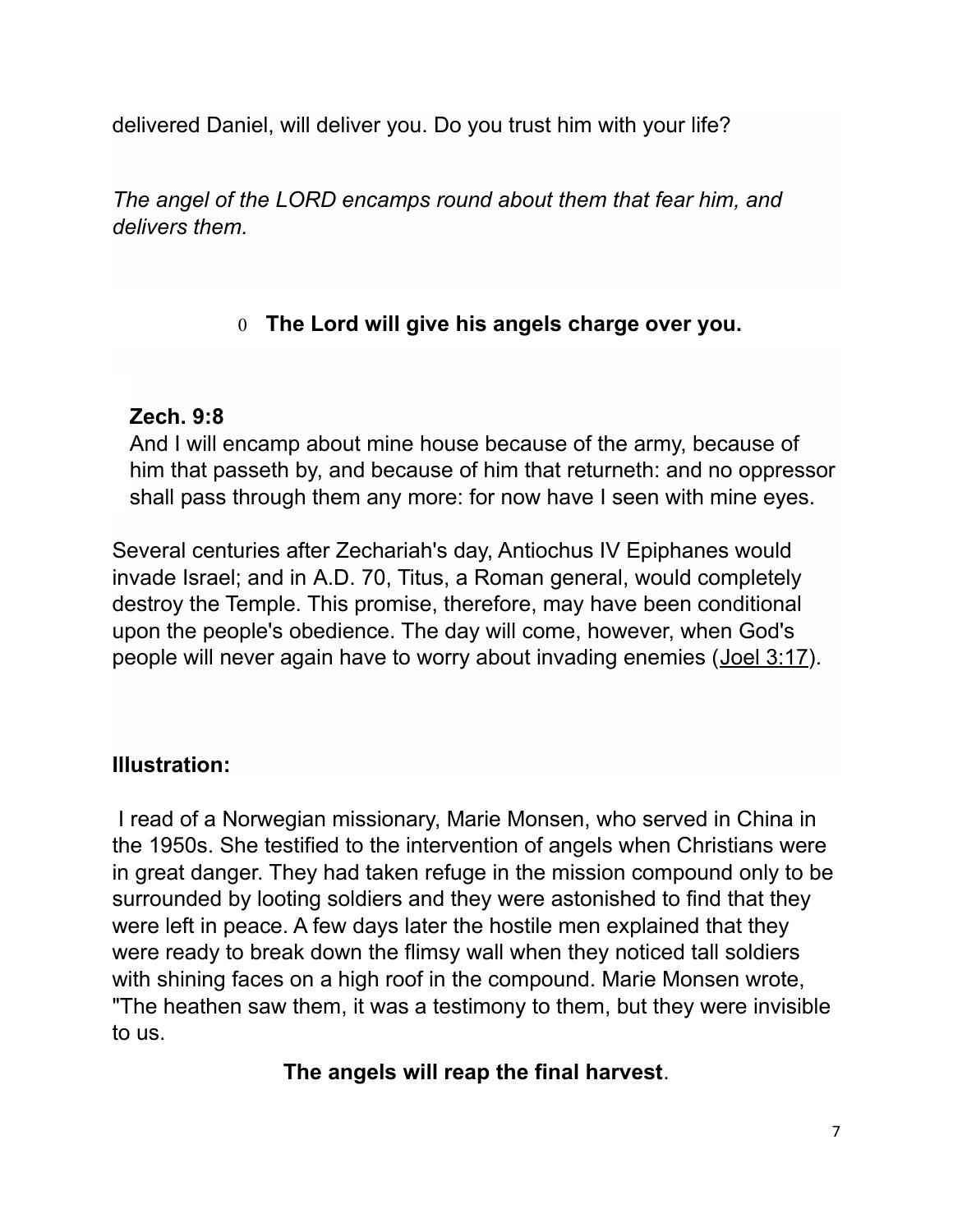delivered Daniel, will deliver you. Do you trust him with your life?

*The angel of the LORD encamps round about them that fear him, and delivers them.*

# 0 **The Lord will give his angels charge over you.**

## **Zech. 9:8**

And I will encamp about mine house because of the army, because of him that passeth by, and because of him that returneth: and no oppressor shall pass through them any more: for now have I seen with mine eyes.

Several centuries after Zechariah's day, Antiochus IV Epiphanes would invade Israel; and in A.D. 70, Titus, a Roman general, would completely destroy the Temple. This promise, therefore, may have been conditional upon the people's obedience. The day will come, however, when God's people will never again have to worry about invading enemies [\(Joel 3:17\)](http://www.crossbooks.com/verse.asp?ref=Joel+3%3A17).

## **Illustration:**

I read of a Norwegian missionary, Marie Monsen, who served in China in the 1950s. She testified to the intervention of angels when Christians were in great danger. They had taken refuge in the mission compound only to be surrounded by looting soldiers and they were astonished to find that they were left in peace. A few days later the hostile men explained that they were ready to break down the flimsy wall when they noticed tall soldiers with shining faces on a high roof in the compound. Marie Monsen wrote, "The heathen saw them, it was a testimony to them, but they were invisible to us.

# **The angels will reap the final harvest**.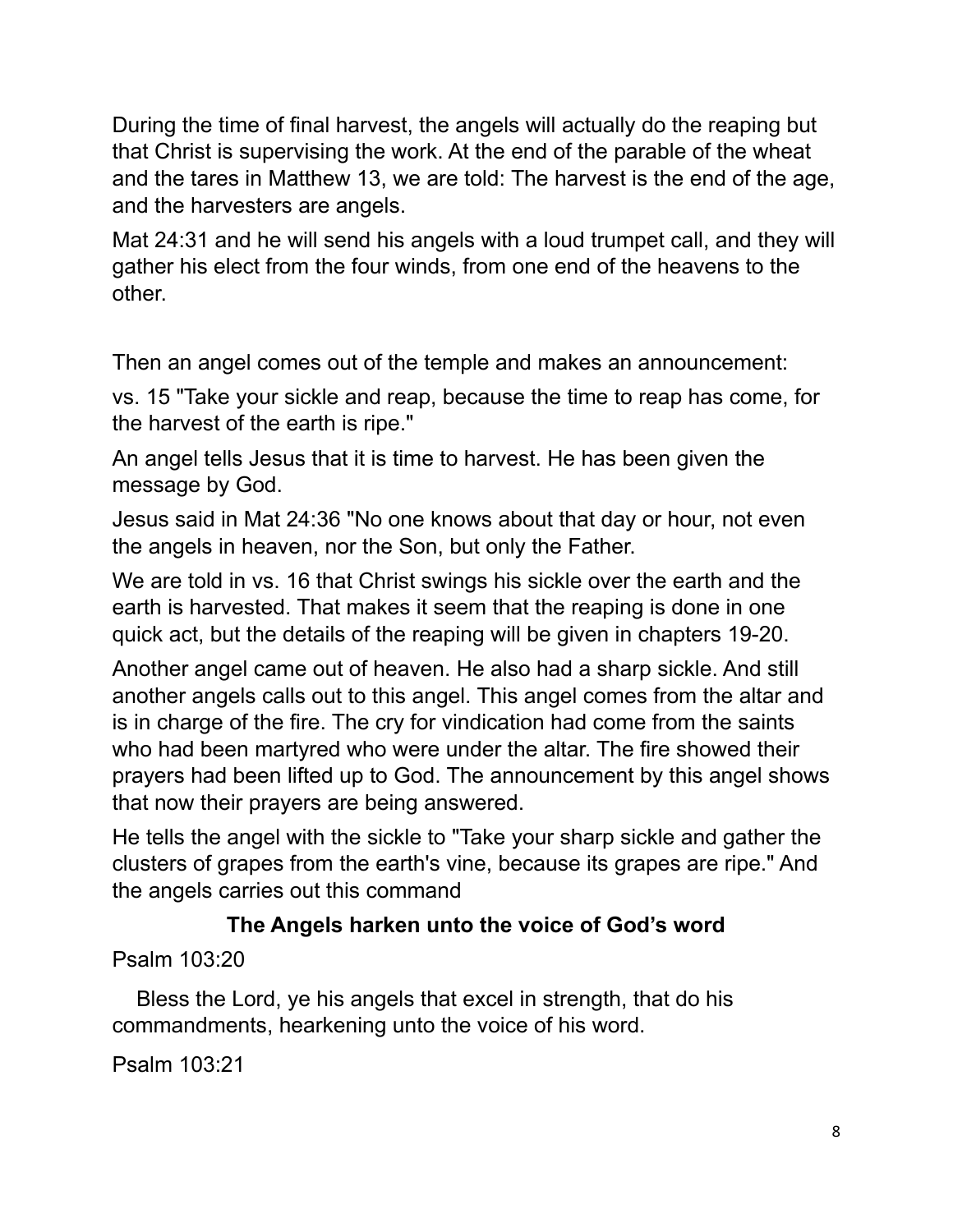During the time of final harvest, the angels will actually do the reaping but that Christ is supervising the work. At the end of the parable of the wheat and the tares in Matthew 13, we are told: The harvest is the end of the age, and the harvesters are angels.

Mat 24:31 and he will send his angels with a loud trumpet call, and they will gather his elect from the four winds, from one end of the heavens to the other.

Then an angel comes out of the temple and makes an announcement:

vs. 15 "Take your sickle and reap, because the time to reap has come, for the harvest of the earth is ripe."

An angel tells Jesus that it is time to harvest. He has been given the message by God.

Jesus said in Mat 24:36 "No one knows about that day or hour, not even the angels in heaven, nor the Son, but only the Father.

We are told in vs. 16 that Christ swings his sickle over the earth and the earth is harvested. That makes it seem that the reaping is done in one quick act, but the details of the reaping will be given in chapters 19-20.

Another angel came out of heaven. He also had a sharp sickle. And still another angels calls out to this angel. This angel comes from the altar and is in charge of the fire. The cry for vindication had come from the saints who had been martyred who were under the altar. The fire showed their prayers had been lifted up to God. The announcement by this angel shows that now their prayers are being answered.

He tells the angel with the sickle to "Take your sharp sickle and gather the clusters of grapes from the earth's vine, because its grapes are ripe." And the angels carries out this command

## **The Angels harken unto the voice of God's word**

Psalm 103:20

 Bless the Lord, ye his angels that excel in strength, that do his commandments, hearkening unto the voice of his word.

Psalm 103:21